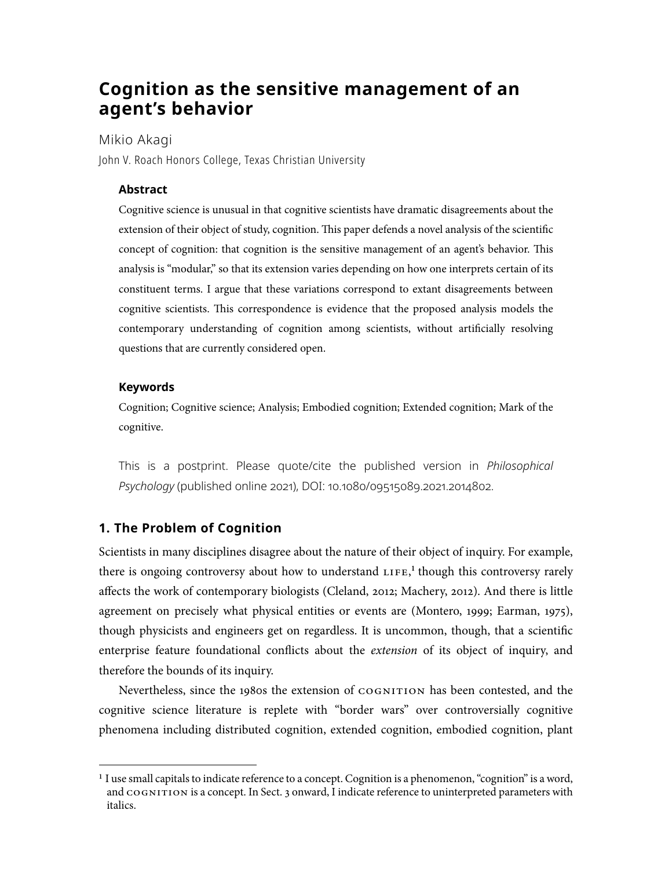# **Cognition as the sensitive management of an agent's behavior**

Mikio Akagi

John V. Roach Honors College, Texas Christian University

### **Abstract**

 Cognitive science is unusual in that cognitive scientists have dramatic disagreements about the extension of their object of study, cognition. This paper defends a novel analysis of the scientific concept of cognition: that cognition is the sensitive management of an agent's behavior. This analysis is "modular," so that its extension varies depending on how one interprets certain of its constituent terms. I argue that these variations correspond to extant disagreements between cognitive scientists. Tis correspondence is evidence that the proposed analysis models the contemporary understanding of cognition among scientists, without artifcially resolving questions that are currently considered open.

#### **Keywords**

 Cognition; Cognitive science; Analysis; Embodied cognition; Extended cognition; Mark of the cognitive.

This is a postprint. Please quote/cite the published version in *Philosophical Psychology* (published online 2021), DOI: 10.1080/[09515089](https://doi.org/10.1080/09515089.2021.2014802).2021.2014802.

## **1. The Problem of Cognition**

 Scientists in many disciplines disagree about the nature of their object of inquiry. For example, there is ongoing controversy about how to understand LIFE,<sup>1</sup> though this controversy rarely affects the work of contemporary biologists (Cleland, 2012; Machery, 2012). And there is little agreement on precisely what physical entities or events are (Montero, 1999; Earman, 1975), though physicists and engineers get on regardless. It is uncommon, though, that a scientifc enterprise feature foundational conficts about the *extension* of its object of inquiry, and therefore the bounds of its inquiry.

Nevertheless, since the 1980s the extension of COGNITION has been contested, and the cognitive science literature is replete with "border wars" over controversially cognitive phenomena including distributed cognition, extended cognition, embodied cognition, plant

 **<sup>1</sup>** I use small capitals to indicate reference to a concept. Cognition is a phenomenon, "cognition" is a word, and  $\cos$ NITION is a concept. In Sect. 3 onward, I indicate reference to uninterpreted parameters with italics.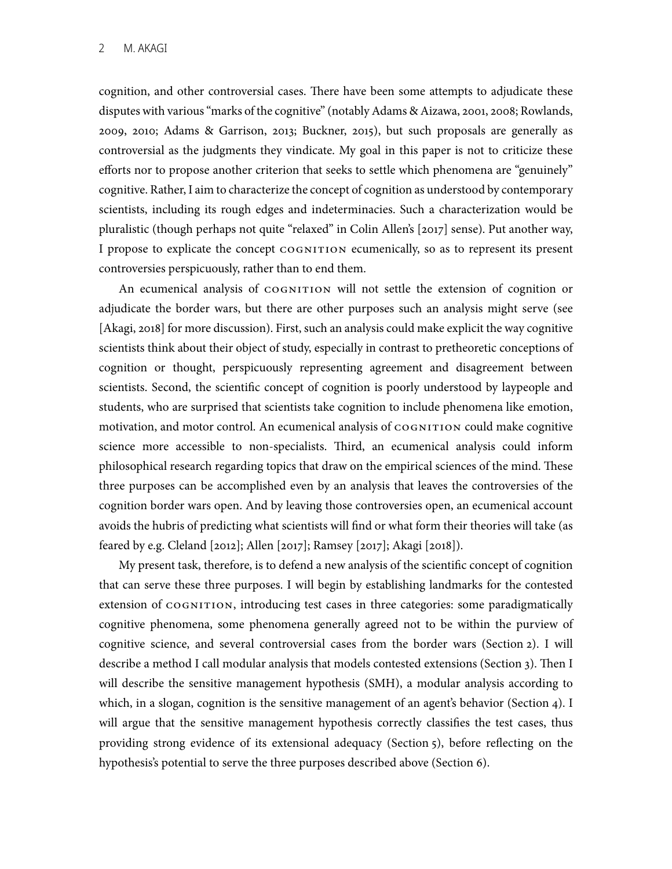cognition, and other controversial cases. There have been some attempts to adjudicate these disputes with various "marks of the cognitive" (notably Adams & Aizawa, 2001, 2008; Rowlands, efforts nor to propose another criterion that seeks to settle which phenomena are "genuinely" cognitive. Rather, I aim to characterize the concept of cognition as understood by contemporary scientists, including its rough edges and indeterminacies. Such a characterization would be I propose to explicate the concept COGNITION ecumenically, so as to represent its present controversies perspicuously, rather than to end them. 2009, 2010; Adams & Garrison, 2013; Buckner, 2015), but such proposals are generally as controversial as the judgments they vindicate. My goal in this paper is not to criticize these pluralistic (though perhaps not quite "relaxed" in Colin Allen's [2017] sense). Put another way,

 An ecumenical analysis of cognition will not settle the extension of cognition or adjudicate the border wars, but there are other purposes such an analysis might serve (see [Akagi, 2018] for more discussion). First, such an analysis could make explicit the way cognitive scientists think about their object of study, especially in contrast to pretheoretic conceptions of cognition or thought, perspicuously representing agreement and disagreement between scientists. Second, the scientifc concept of cognition is poorly understood by laypeople and students, who are surprised that scientists take cognition to include phenomena like emotion, motivation, and motor control. An ecumenical analysis of COGNITION could make cognitive science more accessible to non-specialists. Third, an ecumenical analysis could inform philosophical research regarding topics that draw on the empirical sciences of the mind. These three purposes can be accomplished even by an analysis that leaves the controversies of the cognition border wars open. And by leaving those controversies open, an ecumenical account avoids the hubris of predicting what scientists will fnd or what form their theories will take (as feared by e.g. Cleland [2012]; Allen [2017]; Ramsey [2017]; Akagi [2018]).

 My present task, therefore, is to defend a new analysis of the scientifc concept of cognition that can serve these three purposes. I will begin by establishing landmarks for the contested cognitive science, and several controversial cases from the border wars (Section 2). I will describe a method I call modular analysis that models contested extensions (Section 3). Then I will describe the sensitive management hypothesis (SMH), a modular analysis according to which, in a slogan, cognition is the sensitive management of an agent's behavior (Section 4). I will argue that the sensitive management hypothesis correctly classifes the test cases, thus providing strong evidence of its extensional adequacy (Section 5), before refecting on the hypothesis's potential to serve the three purposes described above (Section 6). extension of  $\cos$ NITION, introducing test cases in three categories: some paradigmatically cognitive phenomena, some phenomena generally agreed not to be within the purview of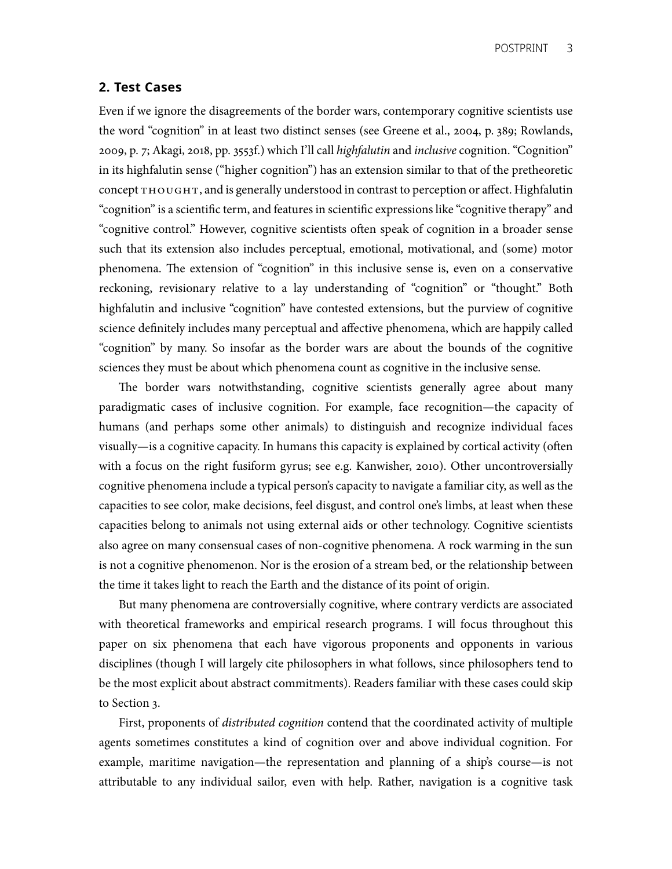### **2. Test Cases**

 Even if we ignore the disagreements of the border wars, contemporary cognitive scientists use the word "cognition" in at least two distinct senses (see Greene et al., 2004, p. 389; Rowlands, 2009, p. 7; Akagi, 2018, pp. 3553f.) which I'll call *highfalutin* and *inclusive* cognition. "Cognition" in its highfalutin sense ("higher cognition") has an extension similar to that of the pretheoretic concept THOUGHT, and is generally understood in contrast to perception or affect. Highfalutin "cognition" is a scientifc term, and features in scientifc expressions like "cognitive therapy" and "cognitive control." However, cognitive scientists often speak of cognition in a broader sense such that its extension also includes perceptual, emotional, motivational, and (some) motor reckoning, revisionary relative to a lay understanding of "cognition" or "thought." Both highfalutin and inclusive "cognition" have contested extensions, but the purview of cognitive science defnitely includes many perceptual and affective phenomena, which are happily called "cognition" by many. So insofar as the border wars are about the bounds of the cognitive sciences they must be about which phenomena count as cognitive in the inclusive sense. phenomena. The extension of "cognition" in this inclusive sense is, even on a conservative

 paradigmatic cases of inclusive cognition. For example, face recognition—the capacity of humans (and perhaps some other animals) to distinguish and recognize individual faces visually—is a cognitive capacity. In humans this capacity is explained by cortical activity (ofen with a focus on the right fusiform gyrus; see e.g. Kanwisher, 2010). Other uncontroversially cognitive phenomena include a typical person's capacity to navigate a familiar city, as well as the capacities to see color, make decisions, feel disgust, and control one's limbs, at least when these capacities belong to animals not using external aids or other technology. Cognitive scientists also agree on many consensual cases of non-cognitive phenomena. A rock warming in the sun is not a cognitive phenomenon. Nor is the erosion of a stream bed, or the relationship between the time it takes light to reach the Earth and the distance of its point of origin. The border wars notwithstanding, cognitive scientists generally agree about many

 But many phenomena are controversially cognitive, where contrary verdicts are associated with theoretical frameworks and empirical research programs. I will focus throughout this paper on six phenomena that each have vigorous proponents and opponents in various be the most explicit about abstract commitments). Readers familiar with these cases could skip to Section 3. disciplines (though I will largely cite philosophers in what follows, since philosophers tend to

 agents sometimes constitutes a kind of cognition over and above individual cognition. For example, maritime navigation—the representation and planning of a ship's course—is not attributable to any individual sailor, even with help. Rather, navigation is a cognitive task First, proponents of *distributed cognition* contend that the coordinated activity of multiple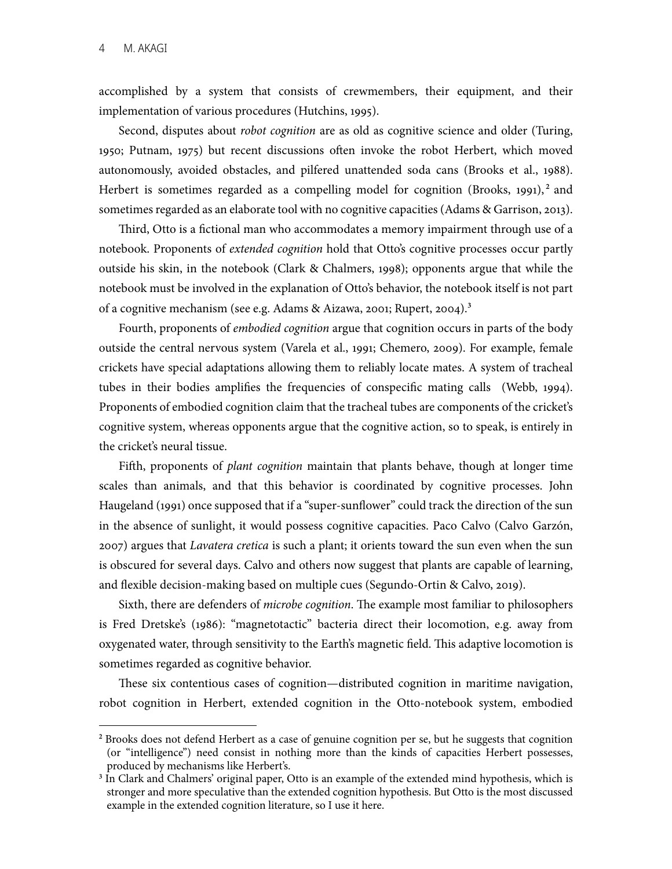implementation of various procedures (Hutchins, 1995). accomplished by a system that consists of crewmembers, their equipment, and their

 Second, disputes about *robot cognition* are as old as cognitive science and older (Turing, 1950; Putnam, 1975) but recent discussions ofen invoke the robot Herbert, which moved Herbert is sometimes regarded as a compelling model for cognition (Brooks, 1991),<sup>2</sup> and sometimes regarded as an elaborate tool with no cognitive capacities (Adams & Garrison, 2013). autonomously, avoided obstacles, and pilfered unattended soda cans (Brooks et al., 1988).

 Tird, Otto is a fctional man who accommodates a memory impairment through use of a notebook. Proponents of *extended cognition* hold that Otto's cognitive processes occur partly outside his skin, in the notebook (Clark & Chalmers, 1998); opponents argue that while the notebook must be involved in the explanation of Otto's behavior, the notebook itself is not part of a cognitive mechanism (see e.g. Adams & Aizawa, 2001; Rupert, 2004). **3**

 Fourth, proponents of *embodied cognition* argue that cognition occurs in parts of the body outside the central nervous system (Varela et al., 1991; Chemero, 2009). For example, female crickets have special adaptations allowing them to reliably locate mates. A system of tracheal tubes in their bodies amplifes the frequencies of conspecifc mating calls (Webb, 1994). Proponents of embodied cognition claim that the tracheal tubes are components of the cricket's cognitive system, whereas opponents argue that the cognitive action, so to speak, is entirely in the cricket's neural tissue.

 Fifh, proponents of *plant cognition* maintain that plants behave, though at longer time scales than animals, and that this behavior is coordinated by cognitive processes. John Haugeland (1991) once supposed that if a "super-sunfower" could track the direction of the sun 2007) argues that *Lavatera cretica* is such a plant; it orients toward the sun even when the sun is obscured for several days. Calvo and others now suggest that plants are capable of learning, and fexible decision-making based on multiple cues (Segundo-Ortin & Calvo, 2019). in the absence of sunlight, it would possess cognitive capacities. Paco Calvo (Calvo Garzón,

Sixth, there are defenders of *microbe cognition*. The example most familiar to philosophers is Fred Dretske's (1986): "magnetotactic" bacteria direct their locomotion, e.g. away from oxygenated water, through sensitivity to the Earth's magnetic field. This adaptive locomotion is sometimes regarded as cognitive behavior.

 robot cognition in Herbert, extended cognition in the Otto-notebook system, embodied These six contentious cases of cognition—distributed cognition in maritime navigation,

 **<sup>2</sup>** Brooks does not defend Herbert as a case of genuine cognition per se, but he suggests that cognition (or "intelligence") need consist in nothing more than the kinds of capacities Herbert possesses, produced by mechanisms like Herbert's.

 **<sup>3</sup>** In Clark and Chalmers' original paper, Otto is an example of the extended mind hypothesis, which is stronger and more speculative than the extended cognition hypothesis. But Otto is the most discussed example in the extended cognition literature, so I use it here.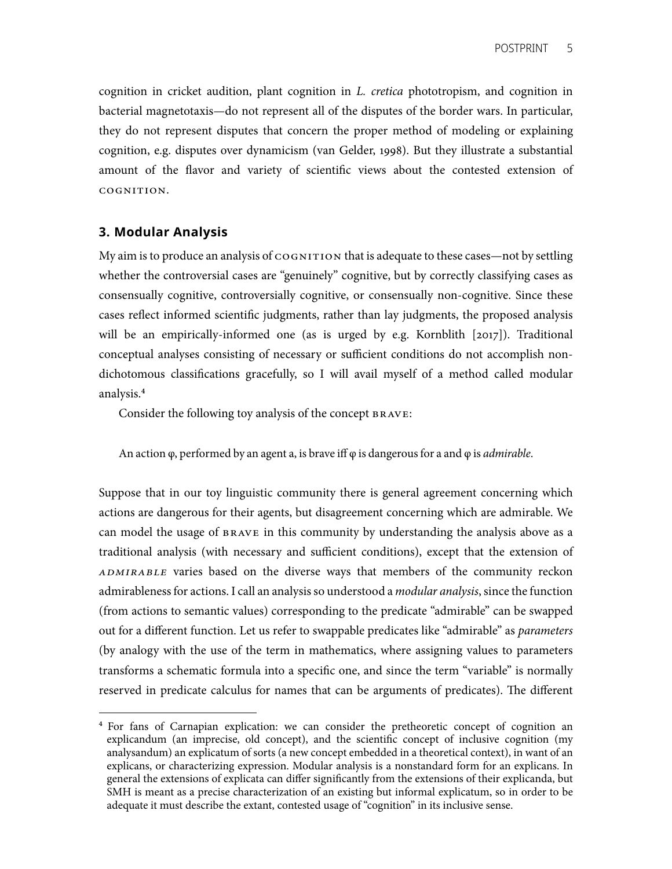cognition in cricket audition, plant cognition in *L. cretica* phototropism, and cognition in they do not represent disputes that concern the proper method of modeling or explaining cognition, e.g. disputes over dynamicism (van Gelder, 1998). But they illustrate a substantial amount of the favor and variety of scientifc views about the contested extension of bacterial magnetotaxis—do not represent all of the disputes of the border wars. In particular, cognition.

## **3. Modular Analysis**

My aim is to produce an analysis of  $\cos$ NITION that is adequate to these cases—not by settling whether the controversial cases are "genuinely" cognitive, but by correctly classifying cases as consensually cognitive, controversially cognitive, or consensually non-cognitive. Since these cases refect informed scientifc judgments, rather than lay judgments, the proposed analysis will be an empirically-informed one (as is urged by e.g. Kornblith [2017]). Traditional dichotomous classifcations gracefully, so I will avail myself of a method called modular conceptual analyses consisting of necessary or sufficient conditions do not accomplish nonanalysis. **4**

Consider the following toy analysis of the concept BRAVE:

An action φ, performed by an agent a, is brave iff φ is dangerous for a and φ is *admirable*.

 Suppose that in our toy linguistic community there is general agreement concerning which can model the usage of BRAVE in this community by understanding the analysis above as a traditional analysis (with necessary and sufficient conditions), except that the extension of *admirable* varies based on the diverse ways that members of the community reckon admirableness for actions. I call an analysis so understood a *modular analysis*, since the function out for a different function. Let us refer to swappable predicates like "admirable" as *parameters*  (by analogy with the use of the term in mathematics, where assigning values to parameters transforms a schematic formula into a specifc one, and since the term "variable" is normally reserved in predicate calculus for names that can be arguments of predicates). The different actions are dangerous for their agents, but disagreement concerning which are admirable. We (from actions to semantic values) corresponding to the predicate "admirable" can be swapped

 **<sup>4</sup>** For fans of Carnapian explication: we can consider the pretheoretic concept of cognition an explicandum (an imprecise, old concept), and the scientifc concept of inclusive cognition (my analysandum) an explicatum of sorts (a new concept embedded in a theoretical context), in want of an explicans, or characterizing expression. Modular analysis is a nonstandard form for an explicans. In general the extensions of explicata can differ signifcantly from the extensions of their explicanda, but SMH is meant as a precise characterization of an existing but informal explicatum, so in order to be adequate it must describe the extant, contested usage of "cognition" in its inclusive sense.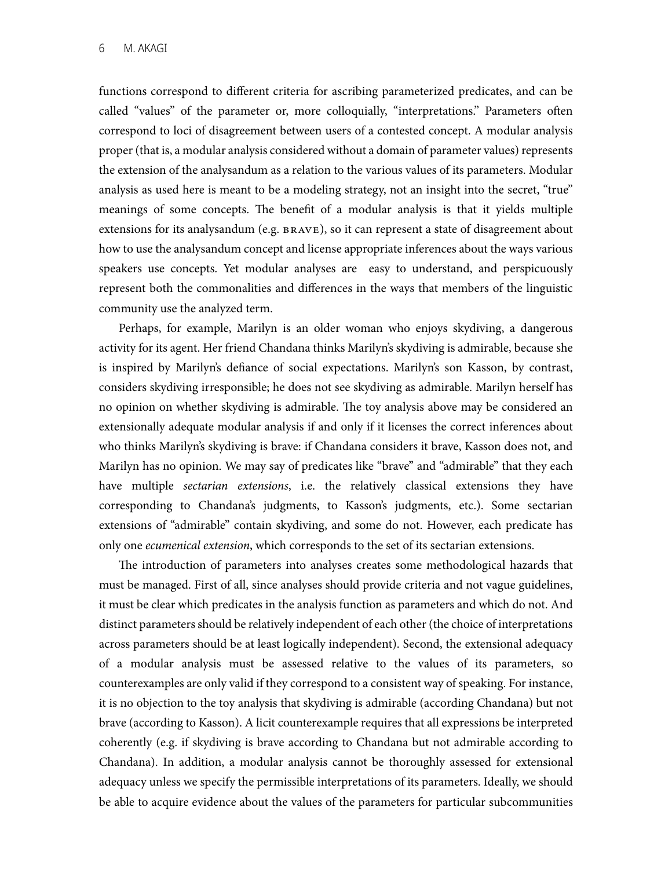functions correspond to different criteria for ascribing parameterized predicates, and can be called "values" of the parameter or, more colloquially, "interpretations." Parameters ofen proper (that is, a modular analysis considered without a domain of parameter values) represents the extension of the analysandum as a relation to the various values of its parameters. Modular analysis as used here is meant to be a modeling strategy, not an insight into the secret, "true" meanings of some concepts. The benefit of a modular analysis is that it yields multiple extensions for its analysandum (e.g. brave), so it can represent a state of disagreement about how to use the analysandum concept and license appropriate inferences about the ways various speakers use concepts. Yet modular analyses are easy to understand, and perspicuously represent both the commonalities and differences in the ways that members of the linguistic correspond to loci of disagreement between users of a contested concept. A modular analysis community use the analyzed term.

 Perhaps, for example, Marilyn is an older woman who enjoys skydiving, a dangerous activity for its agent. Her friend Chandana thinks Marilyn's skydiving is admirable, because she is inspired by Marilyn's defance of social expectations. Marilyn's son Kasson, by contrast, no opinion on whether skydiving is admirable. The toy analysis above may be considered an who thinks Marilyn's skydiving is brave: if Chandana considers it brave, Kasson does not, and Marilyn has no opinion. We may say of predicates like "brave" and "admirable" that they each have multiple *sectarian extensions*, i.e. the relatively classical extensions they have only one *ecumenical extension*, which corresponds to the set of its sectarian extensions. considers skydiving irresponsible; he does not see skydiving as admirable. Marilyn herself has extensionally adequate modular analysis if and only if it licenses the correct inferences about corresponding to Chandana's judgments, to Kasson's judgments, etc.). Some sectarian extensions of "admirable" contain skydiving, and some do not. However, each predicate has

The introduction of parameters into analyses creates some methodological hazards that must be managed. First of all, since analyses should provide criteria and not vague guidelines, it must be clear which predicates in the analysis function as parameters and which do not. And across parameters should be at least logically independent). Second, the extensional adequacy of a modular analysis must be assessed relative to the values of its parameters, so counterexamples are only valid if they correspond to a consistent way of speaking. For instance, it is no objection to the toy analysis that skydiving is admirable (according Chandana) but not brave (according to Kasson). A licit counterexample requires that all expressions be interpreted Chandana). In addition, a modular analysis cannot be thoroughly assessed for extensional be able to acquire evidence about the values of the parameters for particular subcommunities distinct parameters should be relatively independent of each other (the choice of interpretations coherently (e.g. if skydiving is brave according to Chandana but not admirable according to adequacy unless we specify the permissible interpretations of its parameters. Ideally, we should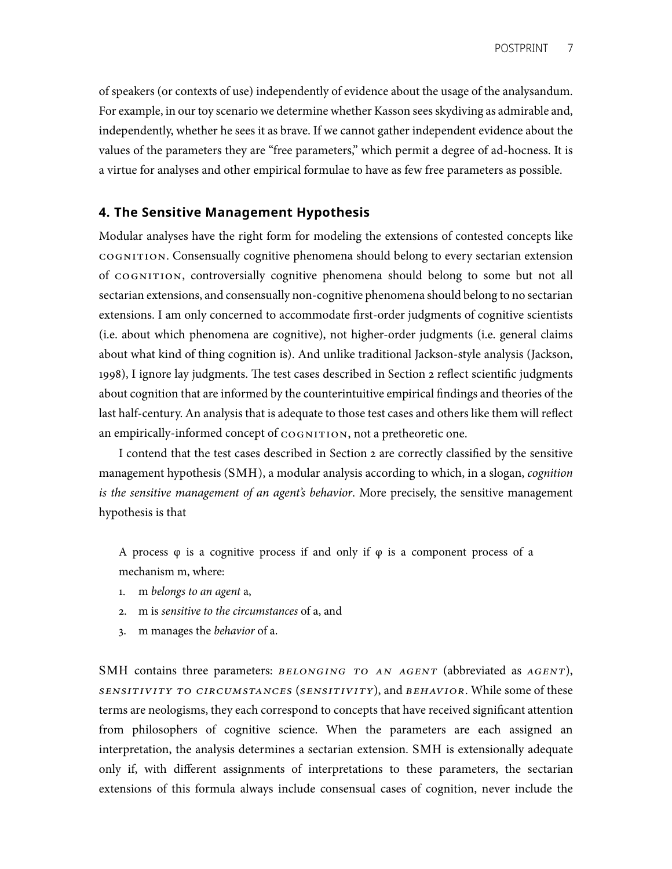of speakers (or contexts of use) independently of evidence about the usage of the analysandum. For example, in our toy scenario we determine whether Kasson sees skydiving as admirable and, independently, whether he sees it as brave. If we cannot gather independent evidence about the values of the parameters they are "free parameters," which permit a degree of ad-hocness. It is a virtue for analyses and other empirical formulae to have as few free parameters as possible.

## **4. The Sensitive Management Hypothesis**

 Modular analyses have the right form for modeling the extensions of contested concepts like cognition. Consensually cognitive phenomena should belong to every sectarian extension of cognition, controversially cognitive phenomena should belong to some but not all sectarian extensions, and consensually non-cognitive phenomena should belong to no sectarian extensions. I am only concerned to accommodate frst-order judgments of cognitive scientists (i.e. about which phenomena are cognitive), not higher-order judgments (i.e. general claims about what kind of thing cognition is). And unlike traditional Jackson-style analysis (Jackson, 1998), I ignore lay judgments. The test cases described in Section 2 reflect scientific judgments about cognition that are informed by the counterintuitive empirical fndings and theories of the last half-century. An analysis that is adequate to those test cases and others like them will refect an empirically-informed concept of COGNITION, not a pretheoretic one.

 I contend that the test cases described in Section 2 are correctly classifed by the sensitive management hypothesis (SMH), a modular analysis according to which, in a slogan, *cognition is the sensitive management of an agent's behavior*. More precisely, the sensitive management hypothesis is that

 A process φ is a cognitive process if and only if φ is a component process of a mechanism m, where:

- 1. m *belongs to an agent* a,
- 2. m is *sensitive to the circumstances* of a, and
- 3. m manages the *behavior* of a.

SMH contains three parameters: *BELONGING TO AN AGENT* (abbreviated as *AGENT*),  *sensitivity to circumstances* (*sensitivity*), and *behavior*. While some of these terms are neologisms, they each correspond to concepts that have received signifcant attention from philosophers of cognitive science. When the parameters are each assigned an interpretation, the analysis determines a sectarian extension. SMH is extensionally adequate only if, with different assignments of interpretations to these parameters, the sectarian extensions of this formula always include consensual cases of cognition, never include the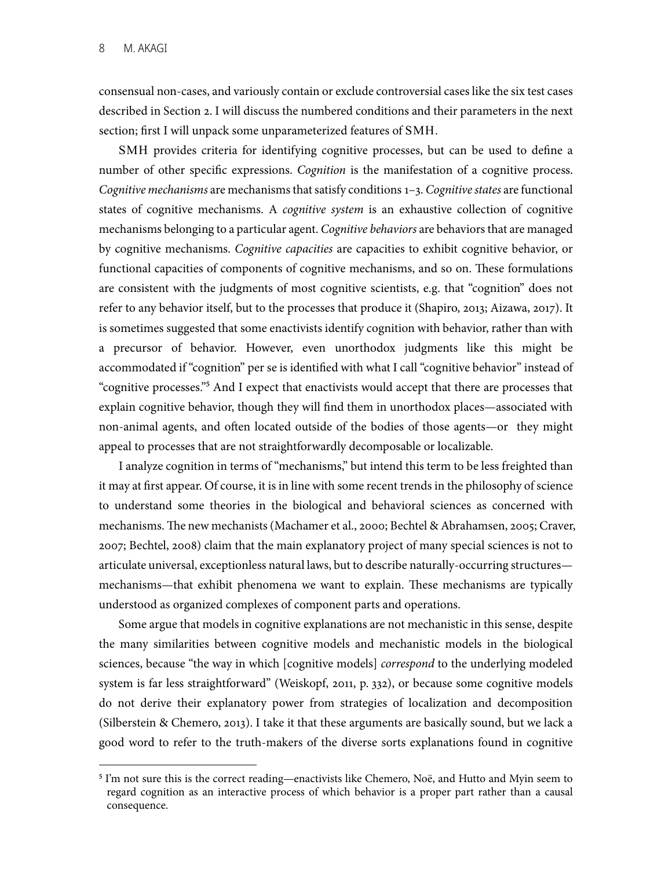consensual non-cases, and variously contain or exclude controversial cases like the six test cases described in Section 2. I will discuss the numbered conditions and their parameters in the next section; frst I will unpack some unparameterized features of SMH.

 SMH provides criteria for identifying cognitive processes, but can be used to defne a number of other specifc expressions. *Cognition* is the manifestation of a cognitive process. *Cognitive mechanisms* are mechanisms that satisfy conditions 1–3. *Cognitive states* are functional states of cognitive mechanisms. A *cognitive system* is an exhaustive collection of cognitive mechanisms belonging to a particular agent. *Cognitive behaviors* are behaviors that are managed by cognitive mechanisms. *Cognitive capacities* are capacities to exhibit cognitive behavior, or functional capacities of components of cognitive mechanisms, and so on. These formulations are consistent with the judgments of most cognitive scientists, e.g. that "cognition" does not refer to any behavior itself, but to the processes that produce it (Shapiro, 2013; Aizawa, 2017). It is sometimes suggested that some enactivists identify cognition with behavior, rather than with a precursor of behavior. However, even unorthodox judgments like this might be "cognitive processes."**<sup>5</sup>** And I expect that enactivists would accept that there are processes that explain cognitive behavior, though they will fnd them in unorthodox places—associated with non-animal agents, and often located outside of the bodies of those agents—or they might appeal to processes that are not straightforwardly decomposable or localizable. accommodated if "cognition" per se is identifed with what I call "cognitive behavior" instead of

 it may at frst appear. Of course, it is in line with some recent trends in the philosophy of science to understand some theories in the biological and behavioral sciences as concerned with mechanisms. The new mechanists (Machamer et al., 2000; Bechtel & Abrahamsen, 2005; Craver, 2007; Bechtel, 2008) claim that the main explanatory project of many special sciences is not to articulate universal, exceptionless natural laws, but to describe naturally-occurring structures mechanisms—that exhibit phenomena we want to explain. These mechanisms are typically understood as organized complexes of component parts and operations. I analyze cognition in terms of "mechanisms," but intend this term to be less freighted than

 Some argue that models in cognitive explanations are not mechanistic in this sense, despite the many similarities between cognitive models and mechanistic models in the biological sciences, because "the way in which [cognitive models] *correspond* to the underlying modeled (Silberstein & Chemero, 2013). I take it that these arguments are basically sound, but we lack a good word to refer to the truth-makers of the diverse sorts explanations found in cognitive system is far less straightforward" (Weiskopf, 2011, p. 332), or because some cognitive models do not derive their explanatory power from strategies of localization and decomposition

 **<sup>5</sup>** I'm not sure this is the correct reading—enactivists like Chemero, Noë, and Hutto and Myin seem to regard cognition as an interactive process of which behavior is a proper part rather than a causal consequence.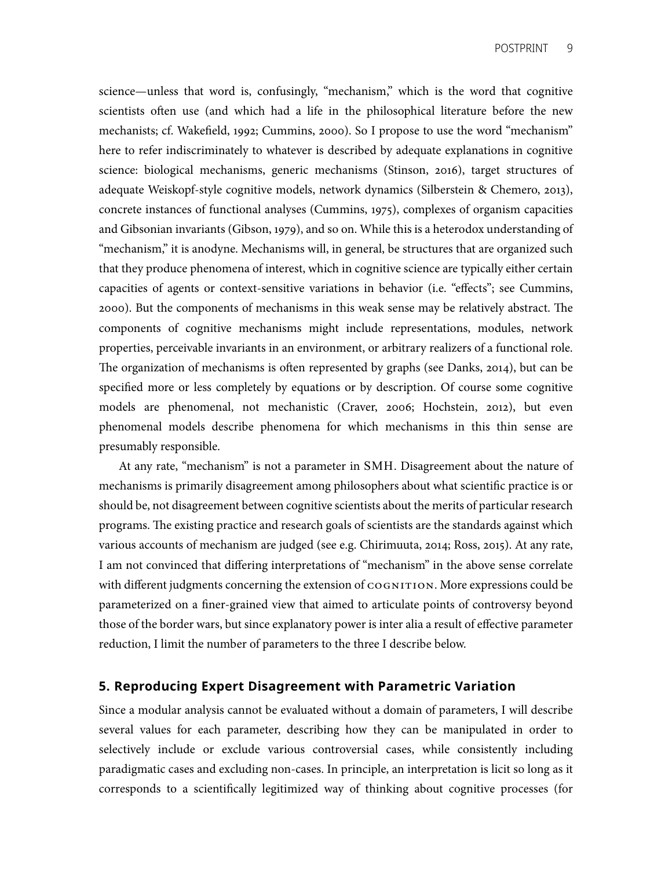scientists often use (and which had a life in the philosophical literature before the new mechanists; cf. Wakefeld, 1992; Cummins, 2000). So I propose to use the word "mechanism" here to refer indiscriminately to whatever is described by adequate explanations in cognitive science: biological mechanisms, generic mechanisms (Stinson, 2016), target structures of concrete instances of functional analyses (Cummins, 1975), complexes of organism capacities and Gibsonian invariants (Gibson, 1979), and so on. While this is a heterodox understanding of "mechanism," it is anodyne. Mechanisms will, in general, be structures that are organized such that they produce phenomena of interest, which in cognitive science are typically either certain 2000). But the components of mechanisms in this weak sense may be relatively abstract. The components of cognitive mechanisms might include representations, modules, network properties, perceivable invariants in an environment, or arbitrary realizers of a functional role. The organization of mechanisms is often represented by graphs (see Danks, 2014), but can be specifed more or less completely by equations or by description. Of course some cognitive models are phenomenal, not mechanistic (Craver, 2006; Hochstein, 2012), but even phenomenal models describe phenomena for which mechanisms in this thin sense are science—unless that word is, confusingly, "mechanism," which is the word that cognitive adequate Weiskopf-style cognitive models, network dynamics (Silberstein & Chemero, 2013), capacities of agents or context-sensitive variations in behavior (i.e. "effects"; see Cummins, presumably responsible.

 At any rate, "mechanism" is not a parameter in SMH. Disagreement about the nature of mechanisms is primarily disagreement among philosophers about what scientifc practice is or should be, not disagreement between cognitive scientists about the merits of particular research programs. The existing practice and research goals of scientists are the standards against which various accounts of mechanism are judged (see e.g. Chirimuuta, 2014; Ross, 2015). At any rate, with different judgments concerning the extension of COGNITION. More expressions could be parameterized on a fner-grained view that aimed to articulate points of controversy beyond those of the border wars, but since explanatory power is inter alia a result of effective parameter reduction, I limit the number of parameters to the three I describe below. I am not convinced that differing interpretations of "mechanism" in the above sense correlate

#### **5. Reproducing Expert Disagreement with Parametric Variation**

 Since a modular analysis cannot be evaluated without a domain of parameters, I will describe several values for each parameter, describing how they can be manipulated in order to selectively include or exclude various controversial cases, while consistently including paradigmatic cases and excluding non-cases. In principle, an interpretation is licit so long as it corresponds to a scientifcally legitimized way of thinking about cognitive processes (for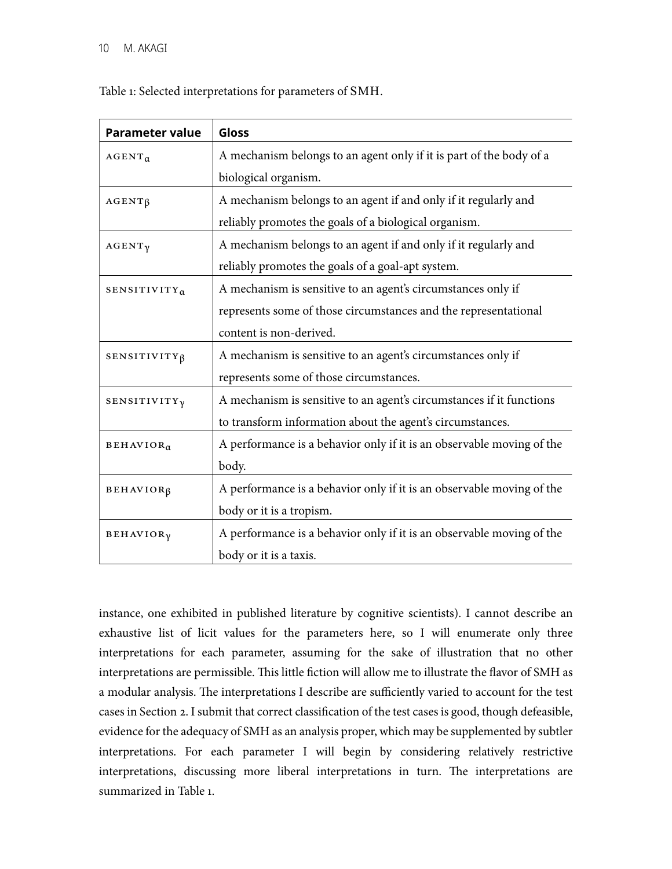Table 1: Selected interpretations for parameters of SMH.

| <b>Parameter value</b>         | Gloss                                                                 |  |
|--------------------------------|-----------------------------------------------------------------------|--|
| $AGENT_{\alpha}$               | A mechanism belongs to an agent only if it is part of the body of a   |  |
|                                | biological organism.                                                  |  |
| $AGENT\beta$                   | A mechanism belongs to an agent if and only if it regularly and       |  |
|                                | reliably promotes the goals of a biological organism.                 |  |
| $AGENT\gamma$                  | A mechanism belongs to an agent if and only if it regularly and       |  |
|                                | reliably promotes the goals of a goal-apt system.                     |  |
| SENSITIVITY <sub>a</sub>       | A mechanism is sensitive to an agent's circumstances only if          |  |
|                                | represents some of those circumstances and the representational       |  |
|                                | content is non-derived.                                               |  |
| SENSITIVITY <sub>ß</sub>       | A mechanism is sensitive to an agent's circumstances only if          |  |
|                                | represents some of those circumstances.                               |  |
| <b>SENSITIVITY<sub>V</sub></b> | A mechanism is sensitive to an agent's circumstances if it functions  |  |
|                                | to transform information about the agent's circumstances.             |  |
| BEHAVIOR <sub>α</sub>          | A performance is a behavior only if it is an observable moving of the |  |
|                                | body.                                                                 |  |
| BEHAVIOR <sub>β</sub>          | A performance is a behavior only if it is an observable moving of the |  |
|                                | body or it is a tropism.                                              |  |
| BEHAVIOR <sub>γ</sub>          | A performance is a behavior only if it is an observable moving of the |  |
|                                | body or it is a taxis.                                                |  |

 instance, one exhibited in published literature by cognitive scientists). I cannot describe an interpretations for each parameter, assuming for the sake of illustration that no other interpretations are permissible. This little fiction will allow me to illustrate the flavor of SMH as a modular analysis. The interpretations I describe are sufficiently varied to account for the test cases in Section 2. I submit that correct classifcation of the test cases is good, though defeasible, evidence for the adequacy of SMH as an analysis proper, which may be supplemented by subtler interpretations. For each parameter I will begin by considering relatively restrictive interpretations, discussing more liberal interpretations in turn. The interpretations are summarized in Table 1. exhaustive list of licit values for the parameters here, so I will enumerate only three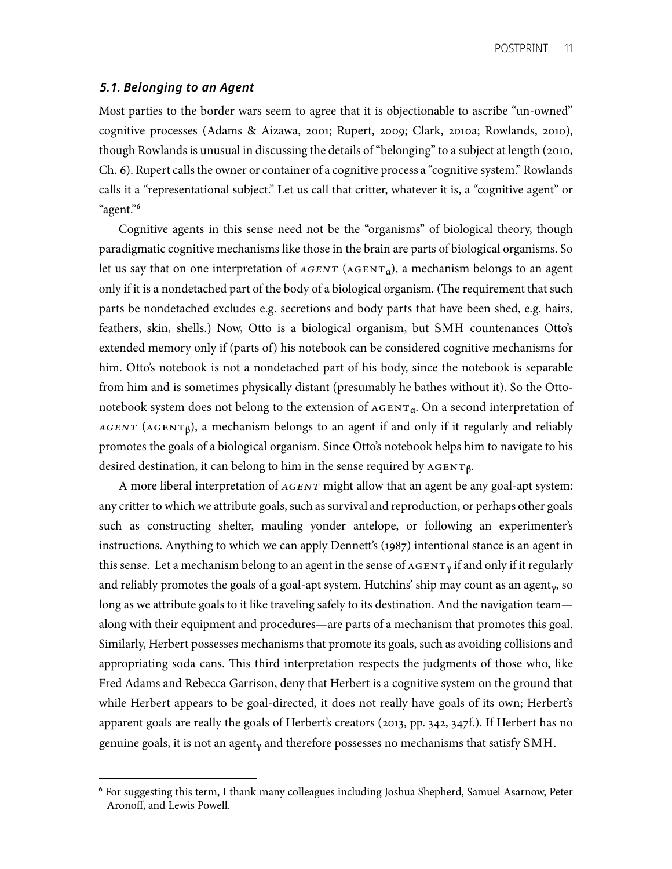#### *5.1. Belonging to an Agent*

 Most parties to the border wars seem to agree that it is objectionable to ascribe "un-owned" though Rowlands is unusual in discussing the details of "belonging" to a subject at length (2010, Ch. 6). Rupert calls the owner or container of a cognitive process a "cognitive system." Rowlands calls it a "representational subject." Let us call that critter, whatever it is, a "cognitive agent" or cognitive processes (Adams & Aizawa, 2001; Rupert, 2009; Clark, 2010a; Rowlands, 2010), "agent."**<sup>6</sup>**

 Cognitive agents in this sense need not be the "organisms" of biological theory, though paradigmatic cognitive mechanisms like those in the brain are parts of biological organisms. So only if it is a nondetached part of the body of a biological organism. (The requirement that such parts be nondetached excludes e.g. secretions and body parts that have been shed, e.g. hairs, feathers, skin, shells.) Now, Otto is a biological organism, but SMH countenances Otto's extended memory only if (parts of) his notebook can be considered cognitive mechanisms for him. Otto's notebook is not a nondetached part of his body, since the notebook is separable from him and is sometimes physically distant (presumably he bathes without it). So the Ottonotebook system does not belong to the extension of  $_{\tt AGENT_{\alpha}}$ . On a second interpretation of *AGENT* (AGENT<sub>β</sub>), a mechanism belongs to an agent if and only if it regularly and reliably promotes the goals of a biological organism. Since Otto's notebook helps him to navigate to his let us say that on one interpretation of  $AGENT$  ( $AGENT<sub>a</sub>$ ), a mechanism belongs to an agent desired destination, it can belong to him in the sense required by  $AGENT\beta$ .

 A more liberal interpretation of *agent* might allow that an agent be any goal-apt system: any critter to which we attribute goals, such as survival and reproduction, or perhaps other goals such as constructing shelter, mauling yonder antelope, or following an experimenter's instructions. Anything to which we can apply Dennett's (1987) intentional stance is an agent in this sense. Let a mechanism belong to an agent in the sense of  $\text{AGENT}_\gamma$  if and only if it regularly and reliably promotes the goals of a goal-apt system. Hutchins' ship may count as an agent $_{\gamma}$ , so long as we attribute goals to it like traveling safely to its destination. And the navigation team— along with their equipment and procedures—are parts of a mechanism that promotes this goal. Similarly, Herbert possesses mechanisms that promote its goals, such as avoiding collisions and appropriating soda cans. This third interpretation respects the judgments of those who, like Fred Adams and Rebecca Garrison, deny that Herbert is a cognitive system on the ground that while Herbert appears to be goal-directed, it does not really have goals of its own; Herbert's apparent goals are really the goals of Herbert's creators (2013, pp. 342, 347f.). If Herbert has no genuine goals, it is not an agent<sub>y</sub> and therefore possesses no mechanisms that satisfy SMH.

 **<sup>6</sup>** For suggesting this term, I thank many colleagues including Joshua Shepherd, Samuel Asarnow, Peter Aronoff, and Lewis Powell.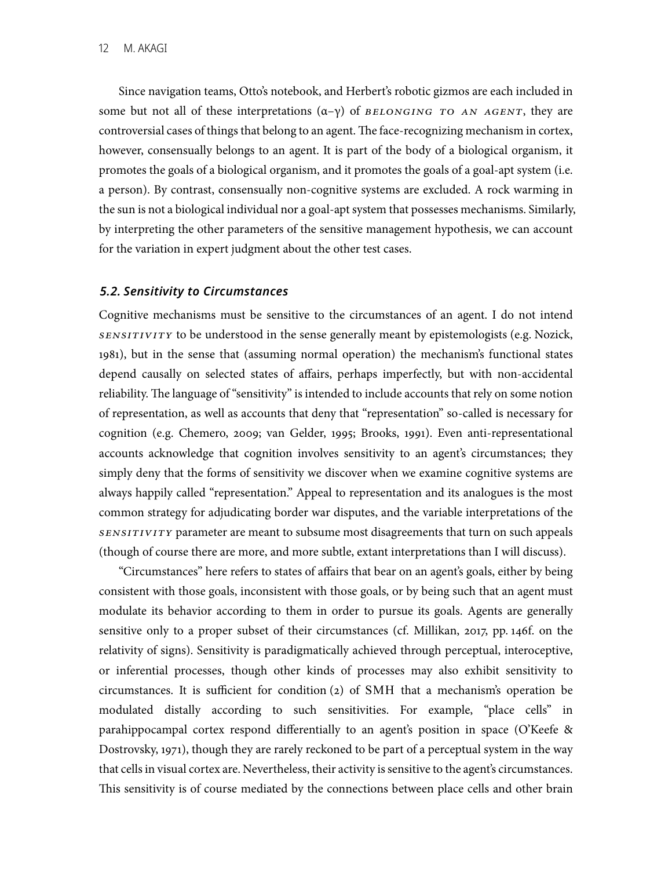Since navigation teams, Otto's notebook, and Herbert's robotic gizmos are each included in some but not all of these interpretations (α–γ) of *belonging to an agent*, they are controversial cases of things that belong to an agent. The face-recognizing mechanism in cortex, however, consensually belongs to an agent. It is part of the body of a biological organism, it promotes the goals of a biological organism, and it promotes the goals of a goal-apt system (i.e. the sun is not a biological individual nor a goal-apt system that possesses mechanisms. Similarly, by interpreting the other parameters of the sensitive management hypothesis, we can account for the variation in expert judgment about the other test cases. a person). By contrast, consensually non-cognitive systems are excluded. A rock warming in

#### *5.2. Sensitivity to Circumstances*

 Cognitive mechanisms must be sensitive to the circumstances of an agent. I do not intend *sensitivity* to be understood in the sense generally meant by epistemologists (e.g. Nozick, 1981), but in the sense that (assuming normal operation) the mechanism's functional states depend causally on selected states of affairs, perhaps imperfectly, but with non-accidental reliability. The language of "sensitivity" is intended to include accounts that rely on some notion of representation, as well as accounts that deny that "representation" so-called is necessary for accounts acknowledge that cognition involves sensitivity to an agent's circumstances; they always happily called "representation." Appeal to representation and its analogues is the most common strategy for adjudicating border war disputes, and the variable interpretations of the *sensitivity* parameter are meant to subsume most disagreements that turn on such appeals (though of course there are more, and more subtle, extant interpretations than I will discuss). cognition (e.g. Chemero, 2009; van Gelder, 1995; Brooks, 1991). Even anti-representational simply deny that the forms of sensitivity we discover when we examine cognitive systems are

 "Circumstances" here refers to states of affairs that bear on an agent's goals, either by being modulate its behavior according to them in order to pursue its goals. Agents are generally sensitive only to a proper subset of their circumstances (cf. Millikan, 2017, pp. 146f. on the relativity of signs). Sensitivity is paradigmatically achieved through perceptual, interoceptive, or inferential processes, though other kinds of processes may also exhibit sensitivity to modulated distally according to such sensitivities. For example, "place cells" in parahippocampal cortex respond differentially to an agent's position in space (O'Keefe & Dostrovsky, 1971), though they are rarely reckoned to be part of a perceptual system in the way that cells in visual cortex are. Nevertheless, their activity is sensitive to the agent's circumstances. This sensitivity is of course mediated by the connections between place cells and other brain consistent with those goals, inconsistent with those goals, or by being such that an agent must circumstances. It is sufficient for condition (2) of SMH that a mechanism's operation be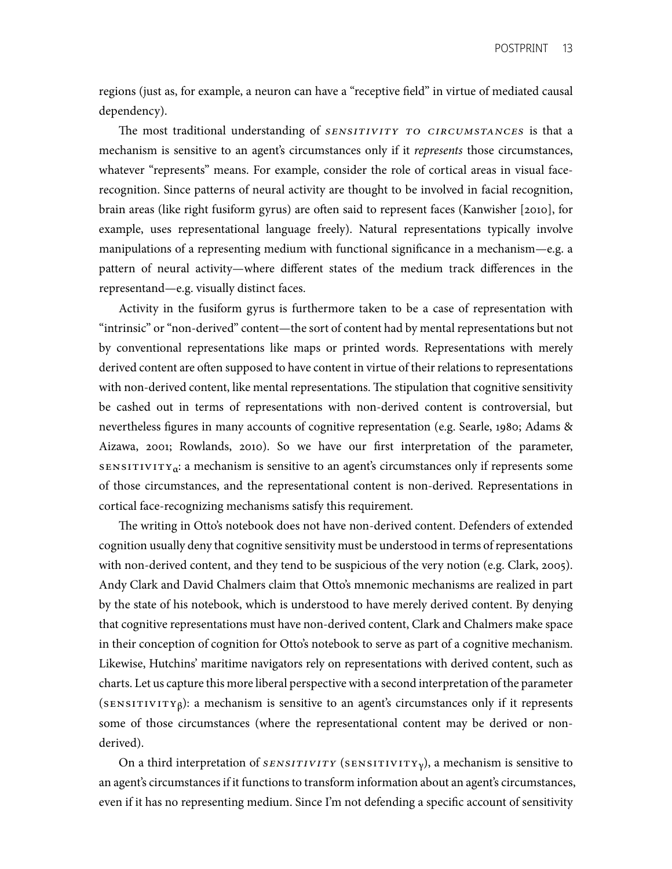regions (just as, for example, a neuron can have a "receptive feld" in virtue of mediated causal dependency).

The most traditional understanding of *SENSITIVITY TO CIRCUMSTANCES* is that a mechanism is sensitive to an agent's circumstances only if it *represents* those circumstances, whatever "represents" means. For example, consider the role of cortical areas in visual face- recognition. Since patterns of neural activity are thought to be involved in facial recognition, brain areas (like right fusiform gyrus) are often said to represent faces (Kanwisher [2010], for example, uses representational language freely). Natural representations typically involve manipulations of a representing medium with functional signifcance in a mechanism—e.g. a pattern of neural activity—where different states of the medium track differences in the representand—e.g. visually distinct faces.

 Activity in the fusiform gyrus is furthermore taken to be a case of representation with "intrinsic" or "non-derived" content—the sort of content had by mental representations but not by conventional representations like maps or printed words. Representations with merely derived content are often supposed to have content in virtue of their relations to representations with non-derived content, like mental representations. The stipulation that cognitive sensitivity be cashed out in terms of representations with non-derived content is controversial, but nevertheless fgures in many accounts of cognitive representation (e.g. Searle, 1980; Adams & Aizawa, 2001; Rowlands, 2010). So we have our frst interpretation of the parameter, sensitivityα: a mechanism is sensitive to an agent's circumstances only if represents some of those circumstances, and the representational content is non-derived. Representations in cortical face-recognizing mechanisms satisfy this requirement.

The writing in Otto's notebook does not have non-derived content. Defenders of extended with non-derived content, and they tend to be suspicious of the very notion (e.g. Clark, 2005). Andy Clark and David Chalmers claim that Otto's mnemonic mechanisms are realized in part by the state of his notebook, which is understood to have merely derived content. By denying that cognitive representations must have non-derived content, Clark and Chalmers make space in their conception of cognition for Otto's notebook to serve as part of a cognitive mechanism. Likewise, Hutchins' maritime navigators rely on representations with derived content, such as charts. Let us capture this more liberal perspective with a second interpretation of the parameter (SENSITIVITY $\beta$ ): a mechanism is sensitive to an agent's circumstances only if it represents some of those circumstances (where the representational content may be derived or noncognition usually deny that cognitive sensitivity must be understood in terms of representations derived).

 On a third interpretation of *sensitivity* (sensitivityγ), a mechanism is sensitive to an agent's circumstances if it functions to transform information about an agent's circumstances, even if it has no representing medium. Since I'm not defending a specifc account of sensitivity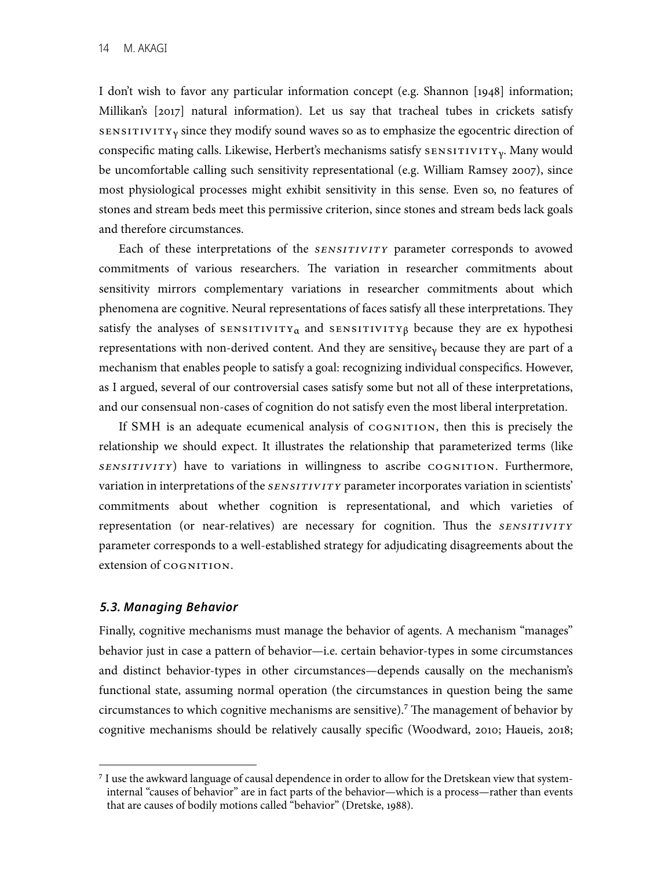Millikan's [2017] natural information). Let us say that tracheal tubes in crickets satisfy conspecific mating calls. Likewise, Herbert's mechanisms satisfy  $s$ ENSITIVITY<sub>Y</sub>. Many would be uncomfortable calling such sensitivity representational (e.g. William Ramsey 2007), since most physiological processes might exhibit sensitivity in this sense. Even so, no features of stones and stream beds meet this permissive criterion, since stones and stream beds lack goals and therefore circumstances. I don't wish to favor any particular information concept (e.g. Shannon [1948] information;  $s$  is sensitivity since they modify sound waves so as to emphasize the egocentric direction of

 Each of these interpretations of the *sensitivity* parameter corresponds to avowed commitments of various researchers. The variation in researcher commitments about sensitivity mirrors complementary variations in researcher commitments about which phenomena are cognitive. Neural representations of faces satisfy all these interpretations. They satisfy the analyses of sensitivity<sub>α</sub> and sensitivity<sub>β</sub> because they are ex hypothesi representations with non-derived content. And they are sensitive<sub>y</sub> because they are part of a mechanism that enables people to satisfy a goal: recognizing individual conspecifcs. However, as I argued, several of our controversial cases satisfy some but not all of these interpretations, and our consensual non-cases of cognition do not satisfy even the most liberal interpretation.

If SMH is an adequate ecumenical analysis of COGNITION, then this is precisely the relationship we should expect. It illustrates the relationship that parameterized terms (like variation in interpretations of the *SENSITIVITY* parameter incorporates variation in scientists' representation (or near-relatives) are necessary for cognition. Thus the *SENSITIVITY*  parameter corresponds to a well-established strategy for adjudicating disagreements about the *sensitivity*) have to variations in willingness to ascribe cognition. Furthermore, commitments about whether cognition is representational, and which varieties of extension of COGNITION.

#### *5.3. Managing Behavior*

 Finally, cognitive mechanisms must manage the behavior of agents. A mechanism "manages" behavior just in case a pattern of behavior—i.e. certain behavior-types in some circumstances and distinct behavior-types in other circumstances—depends causally on the mechanism's functional state, assuming normal operation (the circumstances in question being the same circumstances to which cognitive mechanisms are sensitive).<sup>7</sup> The management of behavior by cognitive mechanisms should be relatively causally specifc (Woodward, 2010; Haueis, 2018;

 **<sup>7</sup>** I use the awkward language of causal dependence in order to allow for the Dretskean view that system- internal "causes of behavior" are in fact parts of the behavior—which is a process—rather than events that are causes of bodily motions called "behavior" (Dretske, 1988).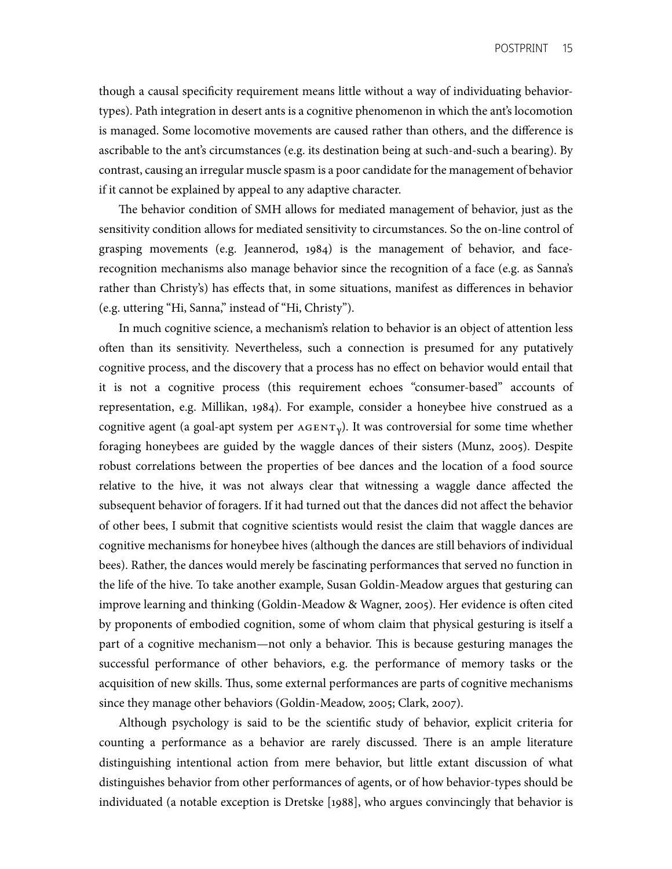though a causal specifcity requirement means little without a way of individuating behavior- types). Path integration in desert ants is a cognitive phenomenon in which the ant's locomotion is managed. Some locomotive movements are caused rather than others, and the difference is ascribable to the ant's circumstances (e.g. its destination being at such-and-such a bearing). By contrast, causing an irregular muscle spasm is a poor candidate for the management of behavior if it cannot be explained by appeal to any adaptive character.

The behavior condition of SMH allows for mediated management of behavior, just as the sensitivity condition allows for mediated sensitivity to circumstances. So the on-line control of grasping movements (e.g. Jeannerod, 1984) is the management of behavior, and face- recognition mechanisms also manage behavior since the recognition of a face (e.g. as Sanna's rather than Christy's) has effects that, in some situations, manifest as differences in behavior (e.g. uttering "Hi, Sanna," instead of "Hi, Christy").

 In much cognitive science, a mechanism's relation to behavior is an object of attention less ofen than its sensitivity. Nevertheless, such a connection is presumed for any putatively it is not a cognitive process (this requirement echoes "consumer-based" accounts of representation, e.g. Millikan, 1984). For example, consider a honeybee hive construed as a cognitive agent (a goal-apt system per  $AGENT<sub>y</sub>$ ). It was controversial for some time whether foraging honeybees are guided by the waggle dances of their sisters (Munz, 2005). Despite robust correlations between the properties of bee dances and the location of a food source relative to the hive, it was not always clear that witnessing a waggle dance affected the subsequent behavior of foragers. If it had turned out that the dances did not affect the behavior of other bees, I submit that cognitive scientists would resist the claim that waggle dances are cognitive mechanisms for honeybee hives (although the dances are still behaviors of individual bees). Rather, the dances would merely be fascinating performances that served no function in the life of the hive. To take another example, Susan Goldin-Meadow argues that gesturing can improve learning and thinking (Goldin-Meadow & Wagner, 2005). Her evidence is ofen cited by proponents of embodied cognition, some of whom claim that physical gesturing is itself a part of a cognitive mechanism—not only a behavior. This is because gesturing manages the successful performance of other behaviors, e.g. the performance of memory tasks or the acquisition of new skills. Thus, some external performances are parts of cognitive mechanisms since they manage other behaviors (Goldin-Meadow, 2005; Clark, 2007). cognitive process, and the discovery that a process has no effect on behavior would entail that

 Although psychology is said to be the scientifc study of behavior, explicit criteria for counting a performance as a behavior are rarely discussed. There is an ample literature distinguishing intentional action from mere behavior, but little extant discussion of what distinguishes behavior from other performances of agents, or of how behavior-types should be individuated (a notable exception is Dretske [1988], who argues convincingly that behavior is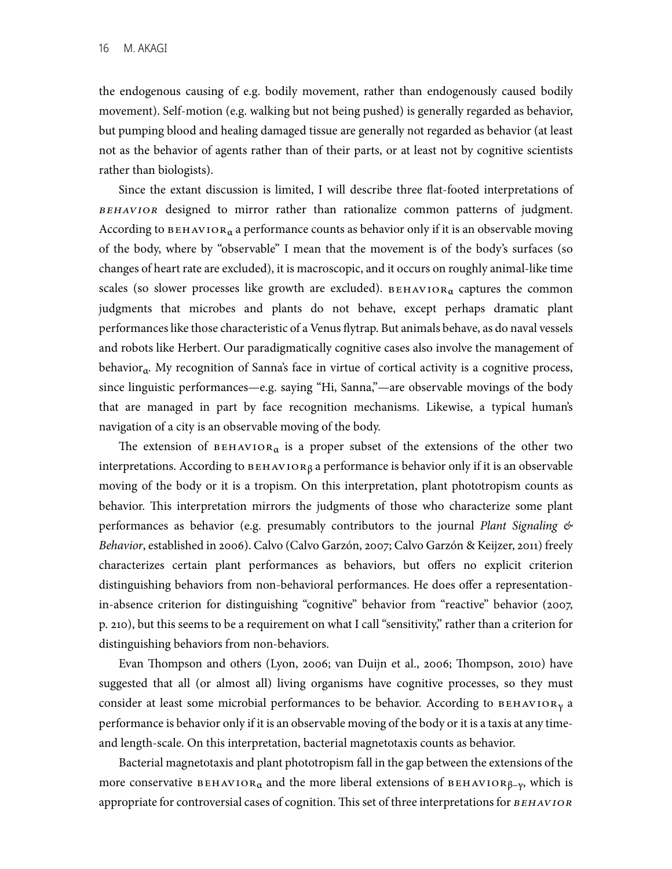but pumping blood and healing damaged tissue are generally not regarded as behavior (at least not as the behavior of agents rather than of their parts, or at least not by cognitive scientists the endogenous causing of e.g. bodily movement, rather than endogenously caused bodily movement). Self-motion (e.g. walking but not being pushed) is generally regarded as behavior, rather than biologists).

 Since the extant discussion is limited, I will describe three fat-footed interpretations of According to  $\texttt{BEHAVIOR}_{\alpha}$  a performance counts as behavior only if it is an observable moving of the body, where by "observable" I mean that the movement is of the body's surfaces (so changes of heart rate are excluded), it is macroscopic, and it occurs on roughly animal-like time scales (so slower processes like growth are excluded).  $B E H A V I O R_{\alpha}$  captures the common and robots like Herbert. Our paradigmatically cognitive cases also involve the management of behavior<sub>a</sub>. My recognition of Sanna's face in virtue of cortical activity is a cognitive process, since linguistic performances—e.g. saying "Hi, Sanna,"—are observable movings of the body that are managed in part by face recognition mechanisms. Likewise, a typical human's navigation of a city is an observable moving of the body. *behavior* designed to mirror rather than rationalize common patterns of judgment. judgments that microbes and plants do not behave, except perhaps dramatic plant performances like those characteristic of a Venus fytrap. But animals behave, as do naval vessels

The extension of  $B E H A V I O R_{\alpha}$  is a proper subset of the extensions of the other two interpretations. According to  $B$   $B$   $H$   $A$  $V$  $I$  or  $R$   $\beta$  a performance is behavior only if it is an observable moving of the body or it is a tropism. On this interpretation, plant phototropism counts as performances as behavior (e.g. presumably contributors to the journal *Plant Signaling & Behavior*, established in 2006). Calvo (Calvo Garzón, 2007; Calvo Garzón & Keijzer, 2011) freely characterizes certain plant performances as behaviors, but offers no explicit criterion distinguishing behaviors from non-behavioral performances. He does offer a representation- in-absence criterion for distinguishing "cognitive" behavior from "reactive" behavior (2007, p. 210), but this seems to be a requirement on what I call "sensitivity," rather than a criterion for behavior. This interpretation mirrors the judgments of those who characterize some plant distinguishing behaviors from non-behaviors.

Evan Thompson and others (Lyon, 2006; van Duijn et al., 2006; Thompson, 2010) have suggested that all (or almost all) living organisms have cognitive processes, so they must consider at least some microbial performances to be behavior. According to  $B$ EHAVIOR<sub>Y</sub> a performance is behavior only if it is an observable moving of the body or it is a taxis at any time-and length-scale. On this interpretation, bacterial magnetotaxis counts as behavior.

 Bacterial magnetotaxis and plant phototropism fall in the gap between the extensions of the more conservative  $B E H A V I O R_{\alpha}$  and the more liberal extensions of  $B E H A V I O R_{\beta-\gamma}$ , which is appropriate for controversial cases of cognition. This set of three interpretations for *BEHAVIOR*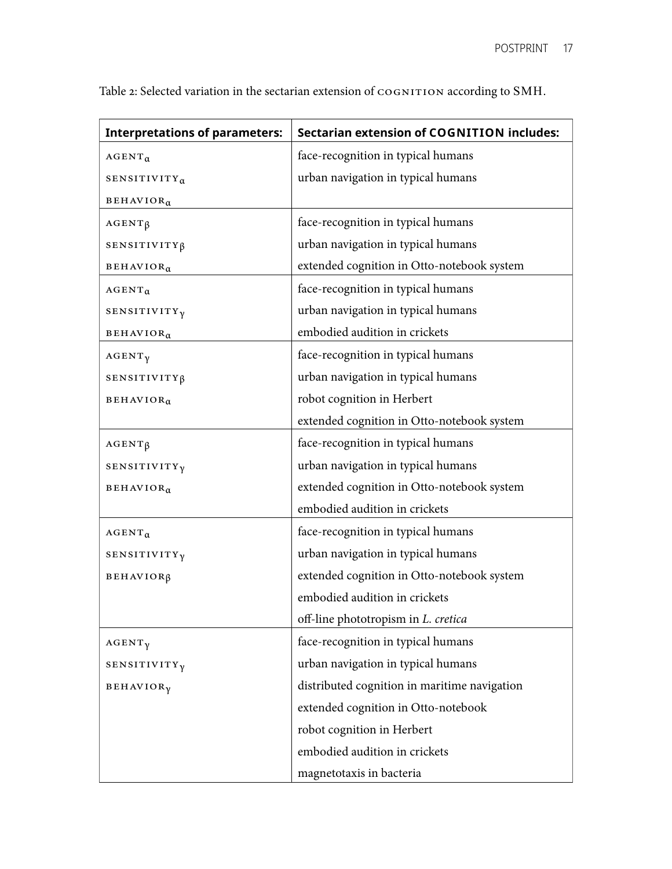| <b>Interpretations of parameters:</b> | <b>Sectarian extension of COGNITION includes:</b> |
|---------------------------------------|---------------------------------------------------|
| $AGENT_{\alpha}$                      | face-recognition in typical humans                |
| SENSITIVITY <sub>a</sub>              | urban navigation in typical humans                |
| BEHAVIOR <sub>a</sub>                 |                                                   |
| $AGENT\beta$                          | face-recognition in typical humans                |
| SENSITIVITY <sub>ß</sub>              | urban navigation in typical humans                |
| $\texttt{BEHAVIOR}_\alpha$            | extended cognition in Otto-notebook system        |
| $AGENT_{\alpha}$                      | face-recognition in typical humans                |
| SENSITIVITY <sub>y</sub>              | urban navigation in typical humans                |
| <b>BEHAVIOR</b> <sub>a</sub>          | embodied audition in crickets                     |
| $AGENT\gamma$                         | face-recognition in typical humans                |
| SENSITIVITY <sub>ß</sub>              | urban navigation in typical humans                |
| BEHAVIOR <sub>a</sub>                 | robot cognition in Herbert                        |
|                                       | extended cognition in Otto-notebook system        |
| $AGENT\beta$                          | face-recognition in typical humans                |
| SENSITIVITY <sub>y</sub>              | urban navigation in typical humans                |
| BEHAVIOR <sub>a</sub>                 | extended cognition in Otto-notebook system        |
|                                       | embodied audition in crickets                     |
| $AGENT_{\alpha}$                      | face-recognition in typical humans                |
| <b>SENSITIVITY<sub>V</sub></b>        | urban navigation in typical humans                |
| BEHAVIOR <sub>B</sub>                 | extended cognition in Otto-notebook system        |
|                                       | embodied audition in crickets                     |
|                                       | off-line phototropism in L. cretica               |
| $AGENT\gamma$                         | face-recognition in typical humans                |
| SENSITIVITY <sub>y</sub>              | urban navigation in typical humans                |
| BEHAVIOR <sub>γ</sub>                 | distributed cognition in maritime navigation      |
|                                       | extended cognition in Otto-notebook               |
|                                       | robot cognition in Herbert                        |
|                                       | embodied audition in crickets                     |
|                                       | magnetotaxis in bacteria                          |

Table 2: Selected variation in the sectarian extension of COGNITION according to SMH.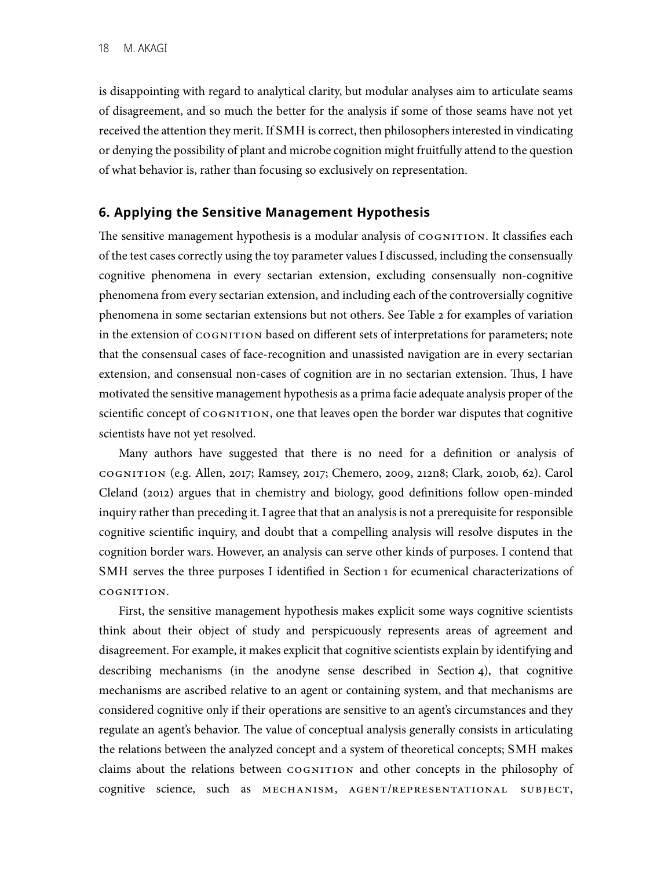is disappointing with regard to analytical clarity, but modular analyses aim to articulate seams of disagreement, and so much the better for the analysis if some of those seams have not yet received the attention they merit. If SMH is correct, then philosophers interested in vindicating or denying the possibility of plant and microbe cognition might fruitfully attend to the question of what behavior is, rather than focusing so exclusively on representation.

## **6. Applying the Sensitive Management Hypothesis**

 of the test cases correctly using the toy parameter values I discussed, including the consensually phenomena from every sectarian extension, and including each of the controversially cognitive phenomena in some sectarian extensions but not others. See Table 2 for examples of variation that the consensual cases of face-recognition and unassisted navigation are in every sectarian extension, and consensual non-cases of cognition are in no sectarian extension. Tus, I have motivated the sensitive management hypothesis as a prima facie adequate analysis proper of the scientific concept of  $\cos$ NITION, one that leaves open the border war disputes that cognitive scientists have not yet resolved. The sensitive management hypothesis is a modular analysis of  $\cos$ NITION. It classifies each cognitive phenomena in every sectarian extension, excluding consensually non-cognitive in the extension of  $cosNITION$  based on different sets of interpretations for parameters; note

 Many authors have suggested that there is no need for a defnition or analysis of Cleland (2012) argues that in chemistry and biology, good defnitions follow open-minded cognition border wars. However, an analysis can serve other kinds of purposes. I contend that SMH serves the three purposes I identifed in Section 1 for ecumenical characterizations of cognition (e.g. Allen, 2017; Ramsey, 2017; Chemero, 2009, 212n8; Clark, 2010b, 62). Carol inquiry rather than preceding it. I agree that that an analysis is not a prerequisite for responsible cognitive scientifc inquiry, and doubt that a compelling analysis will resolve disputes in the cognition.

 First, the sensitive management hypothesis makes explicit some ways cognitive scientists think about their object of study and perspicuously represents areas of agreement and disagreement. For example, it makes explicit that cognitive scientists explain by identifying and mechanisms are ascribed relative to an agent or containing system, and that mechanisms are considered cognitive only if their operations are sensitive to an agent's circumstances and they regulate an agent's behavior. The value of conceptual analysis generally consists in articulating the relations between the analyzed concept and a system of theoretical concepts; SMH makes claims about the relations between cognition and other concepts in the philosophy of describing mechanisms (in the anodyne sense described in Section 4), that cognitive cognitive science, such as mechanism, agent/representational subject,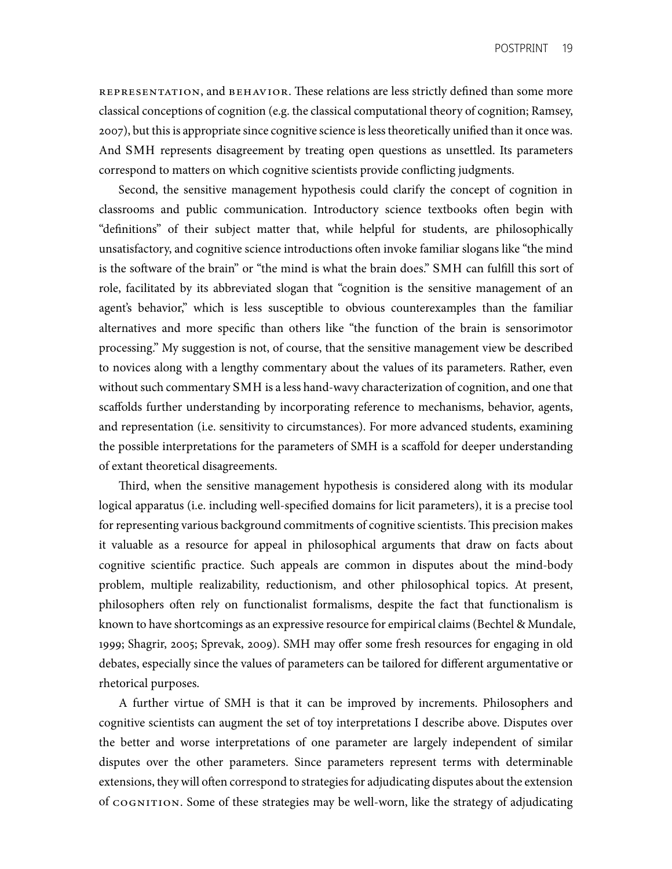REPRESENTATION, and BEHAVIOR. These relations are less strictly defined than some more 2007), but this is appropriate since cognitive science is less theoretically unifed than it once was. classical conceptions of cognition (e.g. the classical computational theory of cognition; Ramsey, And SMH represents disagreement by treating open questions as unsettled. Its parameters correspond to matters on which cognitive scientists provide conficting judgments.

 Second, the sensitive management hypothesis could clarify the concept of cognition in classrooms and public communication. Introductory science textbooks ofen begin with "defnitions" of their subject matter that, while helpful for students, are philosophically unsatisfactory, and cognitive science introductions ofen invoke familiar slogans like "the mind is the sofware of the brain" or "the mind is what the brain does." SMH can fulfll this sort of agent's behavior," which is less susceptible to obvious counterexamples than the familiar alternatives and more specifc than others like "the function of the brain is sensorimotor processing." My suggestion is not, of course, that the sensitive management view be described to novices along with a lengthy commentary about the values of its parameters. Rather, even without such commentary SMH is a less hand-wavy characterization of cognition, and one that scaffolds further understanding by incorporating reference to mechanisms, behavior, agents, and representation (i.e. sensitivity to circumstances). For more advanced students, examining the possible interpretations for the parameters of SMH is a scaffold for deeper understanding of extant theoretical disagreements. role, facilitated by its abbreviated slogan that "cognition is the sensitive management of an

 Tird, when the sensitive management hypothesis is considered along with its modular logical apparatus (i.e. including well-specifed domains for licit parameters), it is a precise tool for representing various background commitments of cognitive scientists. This precision makes it valuable as a resource for appeal in philosophical arguments that draw on facts about cognitive scientifc practice. Such appeals are common in disputes about the mind-body problem, multiple realizability, reductionism, and other philosophical topics. At present, philosophers often rely on functionalist formalisms, despite the fact that functionalism is known to have shortcomings as an expressive resource for empirical claims (Bechtel & Mundale, 1999; Shagrir, 2005; Sprevak, 2009). SMH may offer some fresh resources for engaging in old debates, especially since the values of parameters can be tailored for different argumentative or rhetorical purposes.

 A further virtue of SMH is that it can be improved by increments. Philosophers and cognitive scientists can augment the set of toy interpretations I describe above. Disputes over the better and worse interpretations of one parameter are largely independent of similar disputes over the other parameters. Since parameters represent terms with determinable extensions, they will ofen correspond to strategies for adjudicating disputes about the extension of cognition. Some of these strategies may be well-worn, like the strategy of adjudicating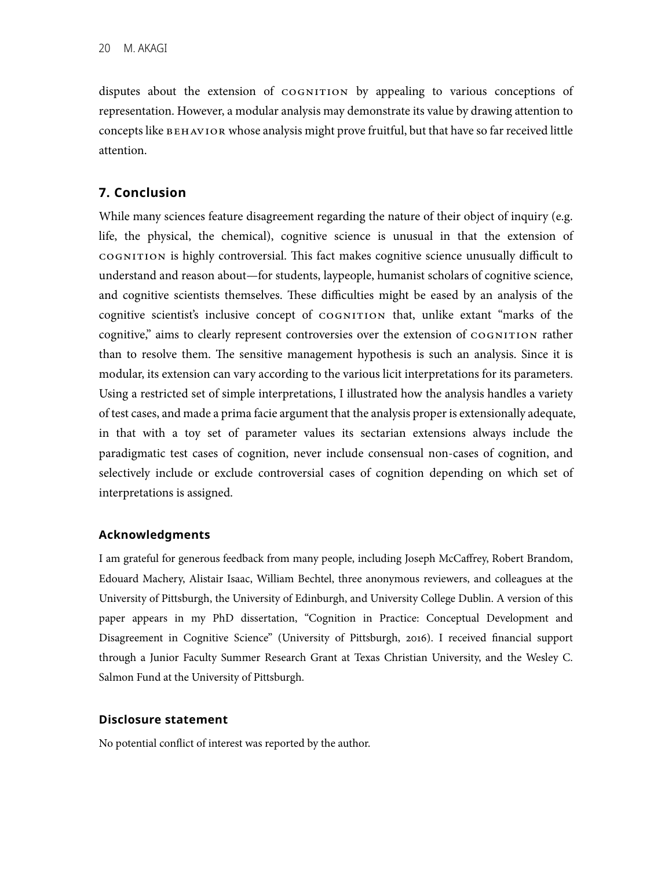disputes about the extension of COGNITION by appealing to various conceptions of representation. However, a modular analysis may demonstrate its value by drawing attention to concepts like BEHAVIOR whose analysis might prove fruitful, but that have so far received little attention.

## **7. Conclusion**

 While many sciences feature disagreement regarding the nature of their object of inquiry (e.g. cognition is highly controversial. Tis fact makes cognitive science unusually difficult to understand and reason about—for students, laypeople, humanist scholars of cognitive science, and cognitive scientists themselves. These difficulties might be eased by an analysis of the cognitive scientist's inclusive concept of cognition that, unlike extant "marks of the than to resolve them. The sensitive management hypothesis is such an analysis. Since it is modular, its extension can vary according to the various licit interpretations for its parameters. Using a restricted set of simple interpretations, I illustrated how the analysis handles a variety of test cases, and made a prima facie argument that the analysis proper is extensionally adequate, in that with a toy set of parameter values its sectarian extensions always include the paradigmatic test cases of cognition, never include consensual non-cases of cognition, and selectively include or exclude controversial cases of cognition depending on which set of life, the physical, the chemical), cognitive science is unusual in that the extension of cognitive," aims to clearly represent controversies over the extension of cognition rather interpretations is assigned.

#### **Acknowledgments**

 I am grateful for generous feedback from many people, including Joseph McCaffrey, Robert Brandom, Edouard Machery, Alistair Isaac, William Bechtel, three anonymous reviewers, and colleagues at the University of Pittsburgh, the University of Edinburgh, and University College Dublin. A version of this paper appears in my PhD dissertation, "Cognition in Practice: Conceptual Development and Disagreement in Cognitive Science" (University of Pittsburgh, 2016). I received fnancial support through a Junior Faculty Summer Research Grant at Texas Christian University, and the Wesley C. Salmon Fund at the University of Pittsburgh.

#### **Disclosure statement**

No potential confict of interest was reported by the author.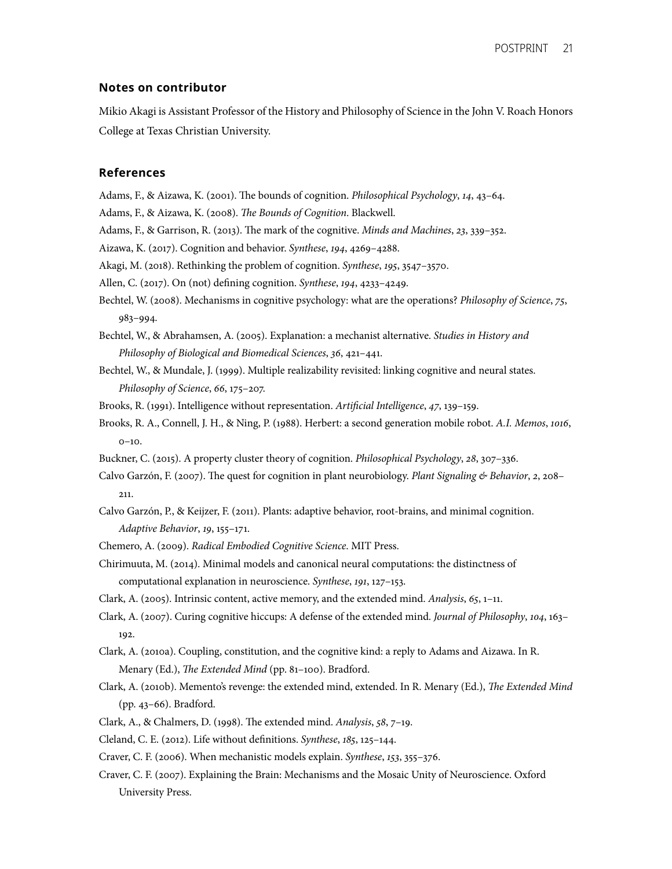#### **Notes on contributor**

 Mikio Akagi is Assistant Professor of the History and Philosophy of Science in the John V. Roach Honors College at Texas Christian University.

#### **References**

Adams, F., & Aizawa, K. (2001). Te bounds of cognition. *Philosophical Psychology*, 14, 43–64. Adams, F., & Aizawa, K. (2008). T*e Bounds of Cognition*. Blackwell.

Adams, F., & Aizawa, K. (2008). The Bounds of Cognition. Blackwell.

Adams, F., & Garrison, R. (2013). Te mark of the cognitive. *Minds and Machines*, 23, 339–352.

Aizawa, K. (2017). Cognition and behavior. *Synthese*, 194, 4269–4288.

Akagi, M. (2018). Rethinking the problem of cognition. *Synthese*, 195, 3547–3570.

Allen, C. (2017). On (not) defning cognition. *Synthese*, 194, 4233–4249.

 Bechtel, W. (2008). Mechanisms in cognitive psychology: what are the operations? *Philosophy of Science*, 75, <sup>983</sup>–994. Bechtel, W., & Abrahamsen, A. (2005). Explanation: a mechanist alternative. *Studies in History and* 

 *Philosophy of Biological and Biomedical Sciences*, 36, 421–441.

 Bechtel, W., & Mundale, J. (1999). Multiple realizability revisited: linking cognitive and neural states.  *Philosophy of Science*, 66, 175–207.

Brooks, R. (1991). Intelligence without representation. *Arti*f*cial Intelligence*, 47, 139–159.

 <sup>0</sup>–10. Buckner, C. (2015). A property cluster theory of cognition. *Philosophical Psychology*, 28, 307–336. Brooks, R. A., Connell, J. H., & Ning, P. (1988). Herbert: a second generation mobile robot. *A.I. Memos*, 1016,

- Calvo Garzón, F. (2007). Te quest for cognition in plant neurobiology. *Plant Signaling & Behavior*, 2, 208– 211. <sup>211</sup>. Calvo Garzón, P., & Keijzer, F. (2011). Plants: adaptive behavior, root-brains, and minimal cognition.
- *Adaptive Behavior*, 19, 155–171. Chemero, A. (2009). *Radical Embodied Cognitive Science*. MIT Press.
- 
- Chirimuuta, M. (2014). Minimal models and canonical neural computations: the distinctness of computational explanation in neuroscience. *Synthese*, 191, 127–153.

Clark, A. (2005). Intrinsic content, active memory, and the extended mind. *Analysis*, 65, 1–11.

- Clark, A. (2007). Curing cognitive hiccups: A defense of the extended mind. *Journal of Philosophy*, 104, 163–
- <sup>192</sup>. Clark, A. (2010a). Coupling, constitution, and the cognitive kind: a reply to Adams and Aizawa. In R. Menary (Ed.), T*e Extended Mind* (pp. 81–100). Bradford.
- Clark, A. (2010b). Memento's revenge: the extended mind, extended. In R. Menary (Ed.), T*e Extended Mind*  (pp. 43–66). Bradford.
- Clark, A., & Chalmers, D. (1998). The extended mind. *Analysis*, 58, 7-19.

Cleland, C. E. (2012). Life without defnitions. *Synthese*, 185, 125–144.

Craver, C. F. (2006). When mechanistic models explain. *Synthese*, 153, 355–376.

 Craver, C. F. (2007). Explaining the Brain: Mechanisms and the Mosaic Unity of Neuroscience. Oxford University Press.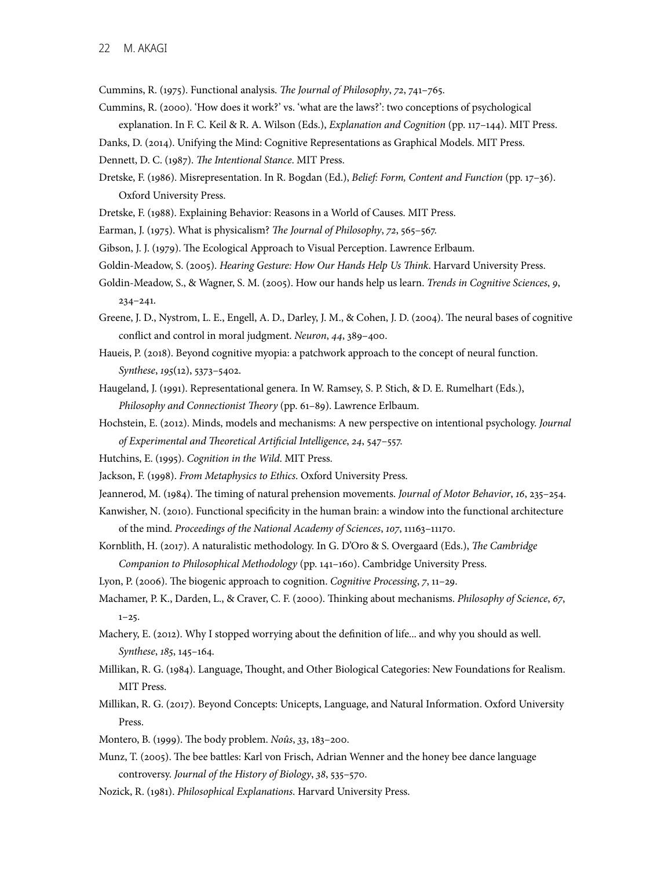Cummins, R. (1975). Functional analysis. T*e Journal of Philosophy*, 72, 741–765.

 Cummins, R. (2000). 'How does it work?' vs. 'what are the laws?': two conceptions of psychological explanation. In F. C. Keil & R. A. Wilson (Eds.), *Explanation and Cognition* (pp. 117–144). MIT Press.

Danks, D. (2014). Unifying the Mind: Cognitive Representations as Graphical Models. MIT Press.

Dennett, D. C. (1987). T*e Intentional Stance*. MIT Press.

- Dretske, F. (1986). Misrepresentation. In R. Bogdan (Ed.), *Belief: Form, Content and Function* (pp. 17–36). Oxford University Press.
- Dretske, F. (1988). Explaining Behavior: Reasons in a World of Causes. MIT Press.
- Earman, J. (1975). What is physicalism? T*e Journal of Philosophy*, 72, 565–567.
- Gibson, J. J. (1979). The Ecological Approach to Visual Perception. Lawrence Erlbaum.
- Goldin-Meadow, S. (2005). *Hearing Gesture: How Our Hands Help Us* T*ink*. Harvard University Press.
- Goldin-Meadow, S., & Wagner, S. M. (2005). How our hands help us learn. *Trends in Cognitive Sciences*, 9, 234–241.
- Greene, J. D., Nystrom, L. E., Engell, A. D., Darley, J. M., & Cohen, J. D. (2004). Te neural bases of cognitive confict and control in moral judgment. *Neuron*, 44, 389–400.
- Haueis, P. (2018). Beyond cognitive myopia: a patchwork approach to the concept of neural function. *Synthese*, 195(12), 5373-5402. *Synthese*, 195(12), 5373–5402. Haugeland, J. (1991). Representational genera. In W. Ramsey, S. P. Stich, & D. E. Rumelhart (Eds.),
- *Philosophy and Connectionist* T*eory* (pp. 61–89). Lawrence Erlbaum.
- Hochstein, E. (2012). Minds, models and mechanisms: A new perspective on intentional psychology. *Journal of Experimental and* T*eoretical Arti*f*cial Intelligence*, 24, 547–557.
- Hutchins, E. (1995). *Cognition in the Wild*. MIT Press.
- Jackson, F. (1998). *From Metaphysics to Ethics*. Oxford University Press.
- Jeannerod, M. (1984). Te timing of natural prehension movements. *Journal of Motor Behavior*, 16, 235–254.
- Kanwisher, N. (2010). Functional specifcity in the human brain: a window into the functional architecture of the mind. *Proceedings of the National Academy of Sciences*, 107, 11163–11170.
- Kornblith, H. (2017). A naturalistic methodology. In G. D'Oro & S. Overgaard (Eds.), T*e Cambridge Companion to Philosophical Methodology* (pp. 141–160). Cambridge University Press.

Lyon, P. (2006). The biogenic approach to cognition. *Cognitive Processing*, 7, 11–29.

- Machamer, P. K., Darden, L., & Craver, C. F. (2000). Tinking about mechanisms. *Philosophy of Science*, 67,
- <sup>1</sup>–25. Machery, E. (2012). Why I stopped worrying about the defnition of life... and why you should as well. Synthese, 185, 145-164.
- *Synthese*, 185, 145–164. Millikan, R. G. (1984). Language, Tought, and Other Biological Categories: New Foundations for Realism. MIT Press.
- Millikan, R. G. (2017). Beyond Concepts: Unicepts, Language, and Natural Information. Oxford University Press. Montero, B. (1999). Te body problem. *Noûs*, 33, 183–200.
- 
- Munz, T. (2005). The bee battles: Karl von Frisch, Adrian Wenner and the honey bee dance language  controversy. *Journal of the History of Biology*, 38, 535–570.
- Nozick, R. (1981). *Philosophical Explanations*. Harvard University Press.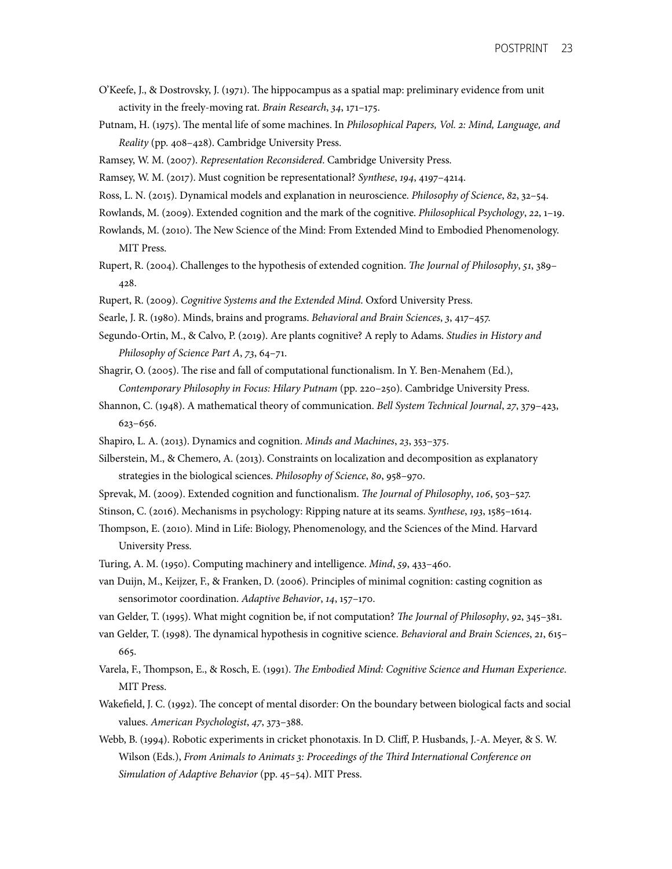- O'Keefe, J., & Dostrovsky, J. (1971). Te hippocampus as a spatial map: preliminary evidence from unit activity in the freely-moving rat. *Brain Research*, 34, 171–175.
- Putnam, H. (1975). Te mental life of some machines. In *Philosophical Papers, Vol.* 2*: Mind, Language, and Reality* (pp. 408–428). Cambridge University Press.
- Ramsey, W. M. (2007). *Representation Reconsidered*. Cambridge University Press.
- Ramsey, W. M. (2017). Must cognition be representational? *Synthese*, 194, 4197–4214.
- Ross, L. N. (2015). Dynamical models and explanation in neuroscience. *Philosophy of Science*, 82, 32–54.
- Rowlands, M. (2009). Extended cognition and the mark of the cognitive. *Philosophical Psychology*, 22, 1–19. Rowlands, M. (2009). Extended cognition and the mark of the cognitive. *Philosophical Psychology, 22*, 1–19.<br>Rowlands, M. (2010). The New Science of the Mind: From Extended Mind to Embodied Phenomenology.
- MIT Press.
- Rupert, R. (2004). Challenges to the hypothesis of extended cognition. T*e Journal of Philosophy*, 51, 389– <sup>428</sup>. Rupert, R. (2009). *Cognitive Systems and the Extended Mind*. Oxford University Press.
- 
- Searle, J. R. (1980). Minds, brains and programs. *Behavioral and Brain Sciences*, 3, 417–457.
- Segundo-Ortin, M., & Calvo, P. (2019). Are plants cognitive? A reply to Adams. *Studies in History and Philosophy of Science Part A*, 73, 64–71.
- Shagrir, O. (2005). The rise and fall of computational functionalism. In Y. Ben-Menahem (Ed.),  *Contemporary Philosophy in Focus: Hilary Putnam* (pp. 220–250). Cambridge University Press.
- Shannon, C. (1948). A mathematical theory of communication. *Bell System Technical Journal*, 27, 379–423,  $623 - 656.$ <sup>623</sup>–656. Shapiro, L. A. (2013). Dynamics and cognition. *Minds and Machines*, 23, 353–375.
- 
- Silberstein, M., & Chemero, A. (2013). Constraints on localization and decomposition as explanatory strategies in the biological sciences. *Philosophy of Science*, 80, 958–970.
- Sprevak, M. (2009). Extended cognition and functionalism. T*e Journal of Philosophy*, 106, 503–527.
- Stinson, C. (2016). Mechanisms in psychology: Ripping nature at its seams. *Synthese*, 193, 1585–1614.
- Tompson, E. (2010). Mind in Life: Biology, Phenomenology, and the Sciences of the Mind. Harvard University Press.
- Turing, A. M. (1950). Computing machinery and intelligence. *Mind*, 59, 433–460.
- van Duijn, M., Keijzer, F., & Franken, D. (2006). Principles of minimal cognition: casting cognition as sensorimotor coordination. Adaptive Behavior, 14, 157–170.
- sensorimotor coordination. *Adaptive Behavior*, 14, 157–170. van Gelder, T. (1995). What might cognition be, if not computation? T*e Journal of Philosophy*, 92, 345–381.
- van Gelder, T. (1998). Te dynamical hypothesis in cognitive science. *Behavioral and Brain Sciences*, 21, 615–
- <sup>665</sup>. Varela, F., Tompson, E., & Rosch, E. (1991). T*e Embodied Mind: Cognitive Science and Human Experience*. MIT Press.
- Wakefield, J. C. (1992). The concept of mental disorder: On the boundary between biological facts and social values. American Psychologist, 47, 373-388.
- values. *American Psychologist*, 47, 373–388. Webb, B. (1994). Robotic experiments in cricket phonotaxis. In D. Cliff, P. Husbands, J.-A. Meyer, & S. W. Wilson (Eds.), *From Animals to Animats* 3*: Proceedings of the* T*ird International Conference on Simulation of Adaptive Behavior* (pp. 45–54). MIT Press.